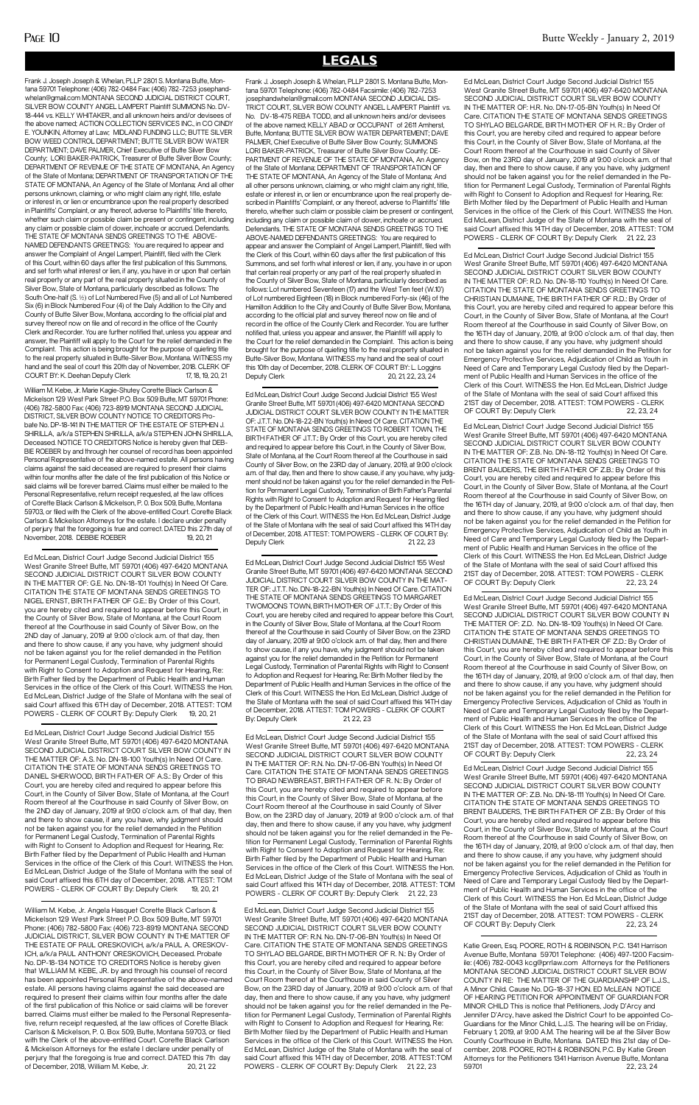Frank J. Joseph Joseph & Whelan, PLLP 2801 S. Montana Butte, Montana 59701 Telephone: (406) 782-0484 Fax: (406) 782-7253 josephandwhelan@gmail.com MONTANA SECOND JUDICIAL DISTRICT COURT, SILVER BOW COUNTY ANGEL LAMPERT Plaintiff SUMMONS No. DV-18-444 vs. KELLY WHITAKER, and all unknown heirs and/or devisees of the above named; ACTION COLLECTION SERVICES INC., in CO CINDY E. YOUNKIN, Attorney at Law; MIDLAND FUNDING LLC; BUTTE SILVER BOW WEED CONTROL DEPARTMENT; BUTTE SILVER BOW WATER DEPARTMENT; DAVE PALMER, Chief Executive of Butte Silver Bow County; LORI BAKER-PATRICK, Treasurer of Butte Silver Bow County; DEPARTMENT OF REVENUE OF THE STATE OF MONTANA, An Agency of the State of Montana; DEPARTMENT OF TRANSPORTATION OF THE STATE OF MONTANA, An Agency of the State of Montana; And all other persons unknown, claiming, or who might claim any right, title, estate or interest in, or lien or encumbrance upon the real property described in Plaintiffs' Complaint, or any thereof, adverse to Plaintiffs' title thereto, whether such claim or possible claim be present or contingent, including any claim or possible claim of dower, inchoate or accrued. Defendants. THE STATE OF MONTANA SENDS GREETINGS TO THE ABOVE-NAMED DEFENDANTS GREETINGS: You are required to appear and answer the Complaint of Angel Lampert, Plaintiff, filed with the Clerk of this Court, within 60 days after the first publication of this Summons, and set forth what interest or lien, if any, you have in or upon that certain real property or any part of the real property situated in the County of Silver Bow, State of Montana, particularly described as follows: The South One-half (S. ½) of Lot Numbered Five (5) and all of Lot Numbered Six (6) in Block Numbered Four (4) of the Daly Addition to the City and County of Butte Silver Bow, Montana, according to the official plat and survey thereof now on file and of record in the office of the County Clerk and Recorder. You are further notified that, unless you appear and answer, the Plaintiff will apply to the Court for the relief demanded in the Complaint. This action is being brought for the purpose of quieting title to the real property situated in Butte-Silver Bow, Montana. WITNESS my hand and the seal of court this 20th day of November, 2018. CLERK OF COURT BY: K. Deehan Deputy Clerk 17, 18, 19, 20, 21

### **LEGALS**

William M. Kebe, Jr. Marie Kagie-Shutey Corette Black Carlson & Mickelson 129 West Park Street P.O. Box 509 Butte, MT 59701 Phone: (406) 782-5800 Fax: (406) 723-8919 MONTANA SECOND JUDICIAL DISTRICT, SILVER BOW COUNTY NOTICE TO CREDITORS Probate No. DP-18-141 IN THE MATTER OF THE ESTATE OF STEPHEN J. SHIRILLA, a/k/a STEPHEN SHIRILLA, a/k/a STEPHEN JOHN SHIRILLA, Deceased. NOTICE TO CREDITORS Notice is hereby given that DEB-BIE ROEBER by and through her counsel of record has been appointed Personal Representative of the above-named estate. All persons having claims against the said deceased are required to present their claims within four months after the date of the first publication of this Notice or said claims will be forever barred. Claims must either be mailed to the Personal Representative, return receipt requested, at the law offices of Corette Black Carlson & Mickelson, P. 0. Box 509, Butte, Montana 59703, or filed with the Clerk of the above-entitled Court. Corette Black Carlson & Mickelson Attorneys for the estate. I declare under penalty of perjury that the foregoing is true and correct. DATED this 27th day of November, 2018. DEBBIE ROEBER 19, 20, 21

Ed McLean, District Court Judge Second Judicial District 155 West Granite Street Butte, MT 59701 (406) 497-6420 MONTANA SECOND JUDICIAL DISTRICT COURT SILVER BOW COUNTY IN THE MATTER OF: A.S. No. DN-18-100 Youth(s) In Need Of Care. CITATION THE STATE OF MONTANA SENDS GREETINGS TO DANIEL SHERWOOD, BIRTH FATHER OF A.S.: By Order of this Court, you are hereby cited and required to appear before this Court, in the County of Silver Bow, State of Montana, at the Court Room thereof at the Courthouse in said County of Silver Bow, on he 2ND day of January, 2019 at 9:00 o'clock a.m. of that day, and there to show cause, if any you have, why judgment should not be taken against you for the relief demanded in the Petition for Permanent Legal Custody, Termination of Parental Rights with Right to Consent to Adoption and Request for Hearing, Re: Birth Father filed by the Department of Public Health and Human Services in the office of the Clerk of this Court. WITNESS the Hon. Ed McLean, District Judge of the State of Montana with the seal of said Court affixed this 6TH day of December, 2018. ATTEST: TOM<br>POWERS - CLERK OF COURT By: Deputy Clerk 19 20 21 POWERS - CLERK OF COURT By: Deputy Clerk

Ed McLean, District Court Judge Second Judicial District 155 West Granite Street Butte, MT 59701 (406) 497-6420 MONTANA SECOND JUDICIAL DISTRICT COURT SILVER BOW COUNTY IN THE MATTER OF: G.E. No. DN-18-101 Youth(s) In Need Of Care. CITATION THE STATE OF MONTANA SENDS GREETINGS TO NIGEL ERNST, BIRTH FATHER OF G.E.: By Order of this Court, you are hereby cited and required to appear before this Court, in the County of Silver Bow, State of Montana, at the Court Room thereof at the Courthouse in said County of Silver Bow, on the 2ND day of January, 2019 at 9:00 o'clock a.m. of that day, then and there to show cause, if any you have, why judgment should not be taken against you for the relief demanded in the Petition for Permanent Legal Custody, Termination of Parental Rights with Right to Consent to Adoption and Request for Hearing, Re: Birth Father filed by the Department of Public Health and Human Services in the office of the Clerk of this Court. WITNESS the Hon. Ed McLean, District Judge of the State of Montana with the seal of said Court affixed this 6TH day of December, 2018. ATTEST: TOM POWERS - CLERK OF COURT By: Deputy Clerk 19, 20, 21

Ed McLean, District Court Judge Second Judicial District 155 West Granite Street Butte, MT 59701 (406) 497-6420 MONTANA SECOND JUDICIAL DISTRICT COURT SILVER BOW COUNTY IN THE MATTER OF: J.T.T. No. DN-18-22-BN Youth(s) In Need Of Care. CITATION THE STATE OF MONTANA SENDS GREETINGS TO ROBERT TOWN, THE BIRTH FATHER OF J.T.T.: By Order of this Court, you are hereby cited and required to appear before this Court, in the County of Silver Bow, State of Montana, at the Court Room thereof at the Courthouse in said County of Silver Bow, on the 23RD day of January, 2019, at 9:00 o'clock a.m. of that day, then and there to show cause, if any you have, why judgment should not be taken against you for the relief demanded in the Petition for Permanent Legal Custody, Termination of Birth Father's Parental Rights with Right to Consent to Adoption and Request for Hearing filed by the Department of Public Health and Human Services in the office of the Clerk of this Court. WITNESS the Hon. Ed McLean, District Judge of the State of Montana with the seal of said Court affixed this 14TH day of December, 2018. ATTEST: TOM POWERS - CLERK OF COURT By: Deputy Clerk 21, 22, 23

William M. Kebe, Jr. Angela Hasquet Corette Black Carlson & Mickelson 129 West Park Street P.O. Box 509 Butte, MT 59701 Phone: (406) 782-5800 Fax: (406) 723-8919 MONTANA SECOND JUDICIAL DISTRICT, SILVER BOW COUNTY IN THE MATTER OF THE ESTATE OF PAUL ORESKOVICH, a/k/a PAUL A. ORESKOV-ICH, a/k/a PAUL ANTHONY ORESKOVICH, Deceased. Probate No. DP-18-134 NOTICE TO CREDITORS Notice is hereby given that WILLIAM M. KEBE, JR. by and through his counsel of record has been appointed Personal Representative of the above-named estate. All persons having claims against the said deceased are required to present their claims within four months after the date of the first publication of this Notice or said claims will be forever barred. Claims must either be mailed to the Personal Representative, return receipt requested, at the law offices of Corette Black Carlson & Mickelson, P. 0. Box 509, Butte, Montana 59703, or filed with the Clerk of the above-entitled Court. Corette Black Carlson & Mickelson Attorneys for the estate I declare under penalty of perjury that the foregoing is true and correct. DATED this 7th day of December, 2018, William M. Kebe, Jr. 20, 21, 22

Ed McLean, District Court Judge Second Judicial District 155 West Granite Street Butte, MT 59701 (406) 497-6420 MONTANA SECOND JUDICIAL DISTRICT COURT SILVER BOW COUNTY IN THE MATTER OF: R.D. No. DN-18-110 Youth(s) In Need Of Care. CITATION THE STATE OF MONTANA SENDS GREETINGS TO CHRISTIAN DUMAINE, THE BIRTH FATHER OF R.D.: By Order of this Court, you are hereby cited and required to appear before this Court, in the County of Silver Bow, State of Montana, at the Court Room thereof at the Courthouse in said County of Silver Bow, on the 16TH day of January, 2019, at 9:00 o'clock a.m. of that day, then and there to show cause, if any you have, why judgment should not be taken against you for the relief demanded in the Petition for Emergency Protective Services, Adjudication of Child as Youth in Need of Care and Temporary Legal Custody filed by the Department of Public Health and Human Services in the office of the Clerk of this Court. WITNESS the Hon. Ed McLean, District Judge of the State of Montana with the seal of said Court affixed this 21ST day of December, 2018. ATTEST: TOM POWERS - CLERK OF COURT By: Deputy Clerk 22, 23, 24

Ed McLean, District Court Judge Second Judicial District 155 West Granite Street Butte, MT 59701 (406) 497-6420 MONTANA SECOND JUDICIAL DISTRICT COURT SILVER BOW COUNTY IN THE MATTER OF: Z.B. No. DN-18-112 Youth(s) In Need Of Care. CITATION THE STATE OF MONTANA SENDS GREETINGS TO BRENT BAUDERS, THE BIRTH FATHER OF Z.B.: By Order of this Court, you are hereby cited and required to appear before this Court, in the County of Silver Bow, State of Montana, at the Court Room thereof at the Courthouse in said County of Silver Bow, on the 16TH day of January, 2019, at 9:00 o'clock a.m. of that day, then and there to show cause, if any you have, why judgment should not be taken against you for the relief demanded in the Petition for Emergency Protective Services, Adjudication of Child as Youth in Need of Care and Temporary Legal Custody filed by the Department of Public Health and Human Services in the office of the Clerk of this Court. WITNESS the Hon. Ed McLean, District Judge of the State of Montana with the seal of said Court affixed this 21ST day of December, 2018. ATTEST: TOM POWERS - CLERK OF COURT By: Deputy Clerk 22, 23, 24

Frank J. Joseph Joseph & Whelan, PLLP 2801 S. Montana Butte, Montana 59701 Telephone: (406) 782-0484 Facsimile: (406) 782-7253 josephandwhelan@gmail.com MONTANA SECOND JUDICIAL DIS-TRICT COURT, SILVER BOW COUNTY ANGEL LAMPERT Plaintiff vs. No. DV-18-475 REBA TODD, and all unknown heirs and/or devisees of the above named; KELLY ABAD or OCCUPANT of 2611 Amherst, Butte, Montana; BUTTE SILVER BOW WATER DEPARTEMENT; DAVE PALMER, Chief Executive of Butte Silver Bow County; SUMMONS LORI BAKER-PATRICK, Treasurer of Butte Silver Bow County; DE-PARTMENT OF REVENUE OF THE STATE OF MONTANA, An Agency of the State of Montana; DEPARTMENT OF TRANSPORTATION OF THE STATE OF MONTANA, An Agency of the State of Montana; And all other persons unknown, claiming, or who might claim any right, title, estate or interest in, or lien or encumbrance upon the real property described in Plaintiffs' Complaint, or any thereof, adverse to Plaintiffs' title thereto, whether such claim or possible claim be present or contingent, including any claim or possible claim of dower, inchoate or accrued. Defendants. THE STATE OF MONTANA SENDS GREETINGS TO THE ABOVE-NAMED DEFENDANTS GREETINGS: You are required to appear and answer the Complaint of Angel Lampert, Plaintiff, filed with the Clerk of this Court, within 60 days after the first publication of this Summons, and set forth what interest or lien, if any, you have in or upon that certain real property or any part of the real property situated in the County of Silver Bow, State of Montana, particularly described as follows: Lot numbered Seventeen (17) and the West Ten feet (W.10') of Lot numbered Eighteen (18) in Block numbered Forty-six (46) of the Hamilton Addition to the City and County of Butte Silver Bow, Montana, according to the official plat and survey thereof now on file and of record in the office of the County Clerk and Recorder. You are further notified that, unless you appear and answer, the Plaintiff will apply to the Court for the relief demanded in the Complaint. This action is being brought for the purpose of quieting title to the real property situated in Butte-Silver Bow, Montana. WITNESS my hand and the seal of court this 10th day of December, 2018. CLERK OF COURT BY: L. Loggins Deputy Clerk 20, 21, 22, 23, 24

> Ed McLean, District Court Judge Second Judicial District 155 West Granite Street Butte, MT 59701 (406) 497-6420 MONTANA SECOND JUDICIAL DISTRICT COURT SILVER BOW COUNTY IN THE MATTER OF: Z.D. No. DN-18-109 Youth(s) In Need Of Care. CITATION THE STATE OF MONTANA SENDS GREETINGS TO CHRISTIAN DUMAINE, THE BIRTH FATHER OF Z.D.: By Order of this Court, you are hereby cited and required to appear before this Court, in the County of Silver Bow, State of Montana, at the Court Room thereof at the Courthouse in said County of Silver Bow, on the 16TH day of January, 2019, at 9:00 o'clock a.m. of that day, then and there to show cause, if any you have, why judgment should not be taken against you for the relief demanded in the Petition for Emergency Protective Services, Adjudication of Child as Youth in Need of Care and Temporary Legal Custody filed by the Department of Public Health and Human Services in the office of the Clerk of this Court. WITNESS the Hon. Ed McLean, District Judge of the State of Montana with the seal of said Court affixed this 21ST day of December, 2018. ATTEST: TOM POWERS - CLERK OF COURT By: Deputy Clerk 22, 23, 24

> Ed McLean, District Court Judge Second Judicial District 155 West Granite Street Butte, MT 59701 (406) 497-6420 MONTANA SECOND JUDICIAL DISTRICT COURT SILVER BOW COUNTY IN THE MATTER OF: Z.B. No. DN-18-111 Youth(s) In Need Of Care. CITATION THE STATE OF MONTANA SENDS GREETINGS TO BRENT BAUDERS, THE BIRTH FATHER OF Z.B.: By Order of this Court, you are hereby cited and required to appear before this Court, in the County of Silver Bow, State of Montana, at the Court Room thereof at the Courthouse in said County of Silver Bow, on the 16TH day of January, 2019, at 9:00 o'clock a.m. of that day, then and there to show cause, if any you have, why judgment should not be taken against you for the relief demanded in the Petition for Emergency Protective Services, Adjudication of Child as Youth in Need of Care and Temporary Legal Custody filed by the Department of Public Health and Human Services in the office of the Clerk of this Court. WITNESS the Hon. Ed McLean, District Judge of the State of Montana with the seal of said Court affixed this 21ST day of December, 2018. ATTEST: TOM POWERS - CLERK OF COURT By: Deputy Clerk 22, 23, 24

Ed McLean, District Court Judge Second Judicial District 155 West Granite Street Butte, MT 59701 (406) 497-6420 MONTANA SECOND JUDICIAL DISTRICT COURT SILVER BOW COUNTY IN THE MAT-TER OF: J.T.T. No. DN-18-22-BN Youth(s) In Need Of Care. CITATION THE STATE OF MONTANA SENDS GREETINGS TO MARGARET TWOMOONS TOWN, BIRTH MOTHER OF J.T.T.: By Order of this Court, you are hereby cited and required to appear before this Court, in the County of Silver Bow, State of Montana, at the Court Room thereof at the Courthouse in said County of Silver Bow, on the 23RD day of January, 2019 at 9:00 o'clock a.m. of that day, then and there to show cause, if any you have, why judgment should not be taken against you for the relief demanded in the Petition for Permanent Legal Custody, Termination of Parental Rights with Right to Consent to Adoption and Request for Hearing, Re: Birth Mother filed by the Department of Public Health and Human Services in the office of the Clerk of this Court. WITNESS the Hon. Ed McLean, District Judge of the State of Montana with the seal of said Court affixed this 14TH day of December, 2018. ATTEST: TOM POWERS - CLERK OF COURT By: Deputy Clerk 21, 22, 23

Ed McLean, District Court Judge Second Judicial District 155 West Granite Street Butte, MT 59701 (406) 497-6420 MONTANA SECOND JUDICIAL DISTRICT COURT SILVER BOW COUNTY IN THE MATTER OF: R.N. No. DN-17-06-BN Youth(s) In Need Of Care. CITATION THE STATE OF MONTANA SENDS GREETINGS TO BRAD NEWBREAST, BIRTH FATHER OF R. N.: By Order of this Court, you are hereby cited and required to appear before this Court, in the County of Silver Bow, State of Montana, at the Court Room thereof at the Courthouse in said County of Silver Bow, on the 23RD day of January, 2019 at 9:00 o'clock a.m. of that day, then and there to show cause, if any you have, why judgment should not be taken against you for the relief demanded in the Petition for Permanent Legal Custody, Termination of Parental Rights with Right to Consent to Adoption and Request for Hearing, Re: Birth Father filed by the Department of Public Health and Human Services in the office of the Clerk of this Court. WITNESS the Hon. Ed McLean, District Judge of the State of Montana with the seal of said Court affixed this 14TH day of December, 2018. ATTEST: TOM POWERS - CLERK OF COURT By: Deputy Clerk 21, 22, 23

Ed McLean, District Court Judge Second Judicial District 155 West Granite Street Butte, MT 59701 (406) 497-6420 MONTANA SECOND JUDICIAL DISTRICT COURT SILVER BOW COUNTY IN THE MATTER OF: R.N. No. DN-17-06-BN Youth(s) In Need Of Care. CITATION THE STATE OF MONTANA SENDS GREETINGS TO SHYLAO BELGARDE, BIRTH MOTHER OF R. N.: By Order of this Court, you are hereby cited and required to appear before this Court, in the County of Silver Bow, State of Montana, at the Court Room thereof at the Courthouse in said County of Silver Bow, on the 23RD day of January, 2019 at 9:00 o'clock a.m. of that day, then and there to show cause, if any you have, why judgment should not be taken against you for the relief demanded in the Petition for Permanent Legal Custody, Termination of Parental Rights with Right to Consent to Adoption and Request for Hearing, Re: Birth Mother filed by the Department of Public Health and Human Services in the office of the Clerk of this Court. WITNESS the Hon. Ed McLean, District Judge of the State of Montana with the seal of said Court affixed this 14TH day of December, 2018. ATTEST:TOM POWERS - CLERK OF COURT By: Deputy Clerk 21, 22, 23

Ed McLean, District Court Judge Second Judicial District 155 West Granite Street Butte, MT 59701 (406) 497-6420 MONTANA SECOND JUDICIAL DISTRICT COURT SILVER BOW COUNTY IN THE MATTER OF: H.R. No. DN-17-05-BN Youth(s) In Need Of Care. CITATION THE STATE OF MONTANA SENDS GREETINGS TO SHYLAO BELGARDE, BIRTH MOTHER OF H. R.: By Order of this Court, you are hereby cited and required to appear before this Court, in the County of Silver Bow, State of Montana, at the Court Room thereof at the Courthouse in said County of Silver Bow, on the 23RD day of January, 2019 at 9:00 o'clock a.m. of that day, then and there to show cause, if any you have, why judgment should not be taken against you for the relief demanded in the Petition for Permanent Legal Custody, Termination of Parental Rights with Right to Consent to Adoption and Request for Hearing, Re: Birth Mother filed by the Department of Public Health and Human Services in the office of the Clerk of this Court. WITNESS the Hon. Ed McLean, District Judge of the State of Montana with the seal of said Court affixed this 14TH day of December, 2018. ATTEST: TOM POWERS - CLERK OF COURT By: Deputy Clerk 21, 22, 23

Katie Green, Esq. POORE, ROTH & ROBINSON, P.C. 1341 Harrison Avenue Butte, Montana 59701 Telephone: (406) 497-1200 Facsimile: (406) 782-0043 kcg@prrlaw.com Attorneys for the Petitioners MONTANA SECOND JUDICIAL DISTRICT COURT SILVER BOW COUNTY IN RE: THE MATTER OF THE GUARDIANSHIP OF L.J.S., A Minor Child. Cause No. DG-18-37 HON. ED McLEAN NOTICE OF HEARING PETITION FOR APPOINTMENT OF GUARDIAN FOR MINOR CHILD This is notice that Petitioners, Jody D'Arcy and Jennifer D'Arcy, have asked the District Court to be appointed Co-Guardians for the Minor Child, L.J.S. The hearing will be on Friday, February 1, 2019, at 9:00 A.M. The hearing will be at the Silver Bow County Courthouse in Butte, Montana. DATED this 21st day of December, 2018. POORE, ROTH & ROBINSON, P.C. By Katie Green Attorneys for the Petitioners 1341 Harrison Avenue Butte, Montana 59701 22, 23, 24